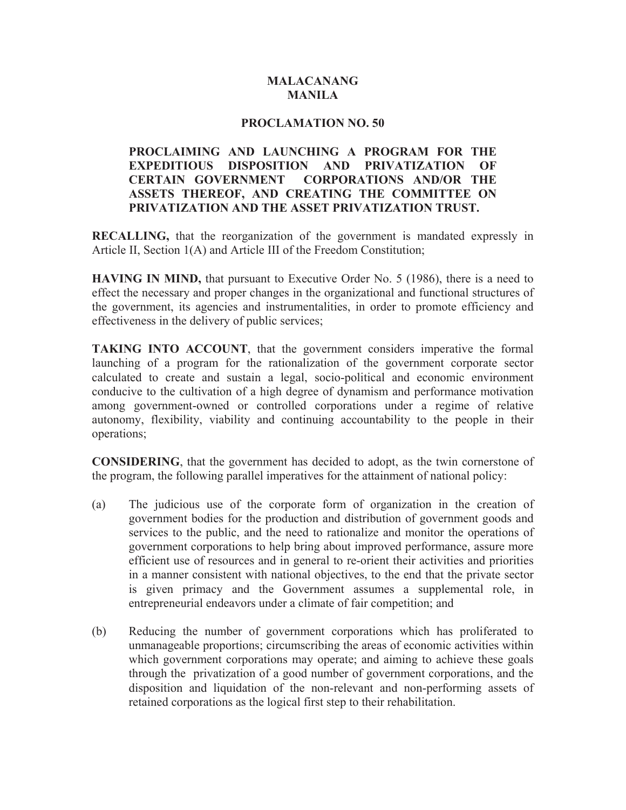## **MALACANANG MANILA**

### **PROCLAMATION NO. 50**

## **PROCLAIMING AND LAUNCHING A PROGRAM FOR THE EXPEDITIOUS DISPOSITION AND PRIVATIZATION OF CERTAIN GOVERNMENT CORPORATIONS AND/OR THE ASSETS THEREOF, AND CREATING THE COMMITTEE ON PRIVATIZATION AND THE ASSET PRIVATIZATION TRUST.**

**RECALLING,** that the reorganization of the government is mandated expressly in Article II, Section 1(A) and Article III of the Freedom Constitution;

**HAVING IN MIND,** that pursuant to Executive Order No. 5 (1986), there is a need to effect the necessary and proper changes in the organizational and functional structures of the government, its agencies and instrumentalities, in order to promote efficiency and effectiveness in the delivery of public services;

**TAKING INTO ACCOUNT**, that the government considers imperative the formal launching of a program for the rationalization of the government corporate sector calculated to create and sustain a legal, socio-political and economic environment conducive to the cultivation of a high degree of dynamism and performance motivation among government-owned or controlled corporations under a regime of relative autonomy, flexibility, viability and continuing accountability to the people in their operations;

**CONSIDERING**, that the government has decided to adopt, as the twin cornerstone of the program, the following parallel imperatives for the attainment of national policy:

- (a) The judicious use of the corporate form of organization in the creation of government bodies for the production and distribution of government goods and services to the public, and the need to rationalize and monitor the operations of government corporations to help bring about improved performance, assure more efficient use of resources and in general to re-orient their activities and priorities in a manner consistent with national objectives, to the end that the private sector is given primacy and the Government assumes a supplemental role, in entrepreneurial endeavors under a climate of fair competition; and
- (b) Reducing the number of government corporations which has proliferated to unmanageable proportions; circumscribing the areas of economic activities within which government corporations may operate; and aiming to achieve these goals through the privatization of a good number of government corporations, and the disposition and liquidation of the non-relevant and non-performing assets of retained corporations as the logical first step to their rehabilitation.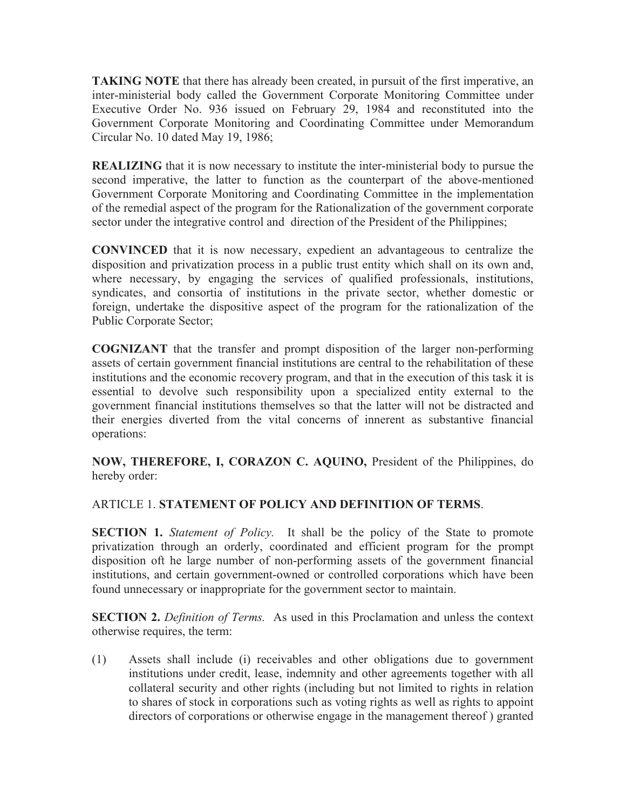**TAKING NOTE** that there has already been created, in pursuit of the first imperative, an inter-ministerial body called the Government Corporate Monitoring Committee under Executive Order No. 936 issued on February 29, 1984 and reconstituted into the Government Corporate Monitoring and Coordinating Committee under Memorandum Circular No. 10 dated May 19, 1986;

**REALIZING** that it is now necessary to institute the inter-ministerial body to pursue the second imperative, the latter to function as the counterpart of the above-mentioned Government Corporate Monitoring and Coordinating Committee in the implementation of the remedial aspect of the program for the Rationalization of the government corporate sector under the integrative control and direction of the President of the Philippines;

**CONVINCED** that it is now necessary, expedient an advantageous to centralize the disposition and privatization process in a public trust entity which shall on its own and, where necessary, by engaging the services of qualified professionals, institutions, syndicates, and consortia of institutions in the private sector, whether domestic or foreign, undertake the dispositive aspect of the program for the rationalization of the Public Corporate Sector;

**COGNIZANT** that the transfer and prompt disposition of the larger non-performing assets of certain government financial institutions are central to the rehabilitation of these institutions and the economic recovery program, and that in the execution of this task it is essential to devolve such responsibility upon a specialized entity external to the government financial institutions themselves so that the latter will not be distracted and their energies diverted from the vital concerns of innerent as substantive financial operations:

**NOW, THEREFORE, I, CORAZON C. AQUINO,** President of the Philippines, do hereby order:

## ARTICLE 1. **STATEMENT OF POLICY AND DEFINITION OF TERMS**.

**SECTION 1.** *Statement of Policy*. It shall be the policy of the State to promote privatization through an orderly, coordinated and efficient program for the prompt disposition oft he large number of non-performing assets of the government financial institutions, and certain government-owned or controlled corporations which have been found unnecessary or inappropriate for the government sector to maintain.

**SECTION 2.** *Definition of Terms.* As used in this Proclamation and unless the context otherwise requires, the term:

(1) Assets shall include (i) receivables and other obligations due to government institutions under credit, lease, indemnity and other agreements together with all collateral security and other rights (including but not limited to rights in relation to shares of stock in corporations such as voting rights as well as rights to appoint directors of corporations or otherwise engage in the management thereof ) granted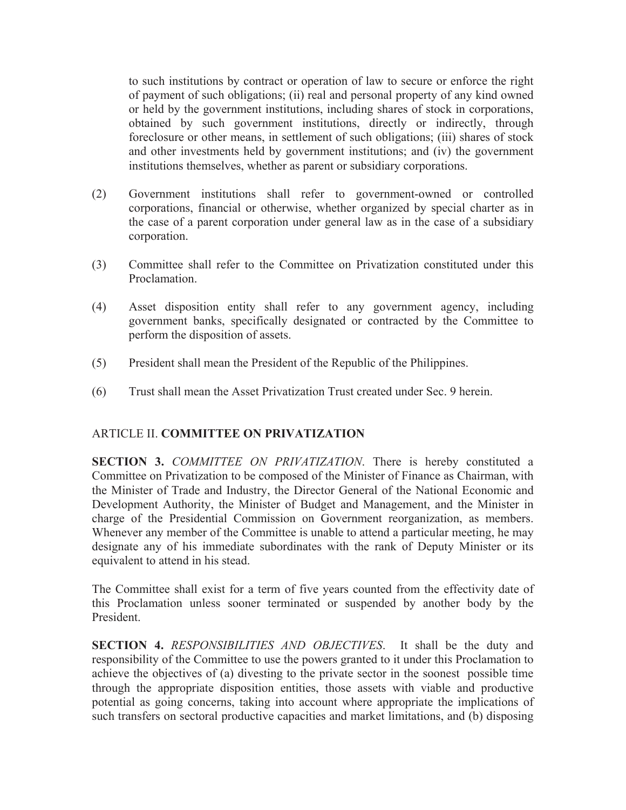to such institutions by contract or operation of law to secure or enforce the right of payment of such obligations; (ii) real and personal property of any kind owned or held by the government institutions, including shares of stock in corporations, obtained by such government institutions, directly or indirectly, through foreclosure or other means, in settlement of such obligations; (iii) shares of stock and other investments held by government institutions; and (iv) the government institutions themselves, whether as parent or subsidiary corporations.

- (2) Government institutions shall refer to government-owned or controlled corporations, financial or otherwise, whether organized by special charter as in the case of a parent corporation under general law as in the case of a subsidiary corporation.
- (3) Committee shall refer to the Committee on Privatization constituted under this Proclamation.
- (4) Asset disposition entity shall refer to any government agency, including government banks, specifically designated or contracted by the Committee to perform the disposition of assets.
- (5) President shall mean the President of the Republic of the Philippines.
- (6) Trust shall mean the Asset Privatization Trust created under Sec. 9 herein.

## ARTICLE II. **COMMITTEE ON PRIVATIZATION**

**SECTION 3.** *COMMITTEE ON PRIVATIZATION*. There is hereby constituted a Committee on Privatization to be composed of the Minister of Finance as Chairman, with the Minister of Trade and Industry, the Director General of the National Economic and Development Authority, the Minister of Budget and Management, and the Minister in charge of the Presidential Commission on Government reorganization, as members. Whenever any member of the Committee is unable to attend a particular meeting, he may designate any of his immediate subordinates with the rank of Deputy Minister or its equivalent to attend in his stead.

The Committee shall exist for a term of five years counted from the effectivity date of this Proclamation unless sooner terminated or suspended by another body by the President.

**SECTION 4.** *RESPONSIBILITIES AND OBJECTIVES*. It shall be the duty and responsibility of the Committee to use the powers granted to it under this Proclamation to achieve the objectives of (a) divesting to the private sector in the soonest possible time through the appropriate disposition entities, those assets with viable and productive potential as going concerns, taking into account where appropriate the implications of such transfers on sectoral productive capacities and market limitations, and (b) disposing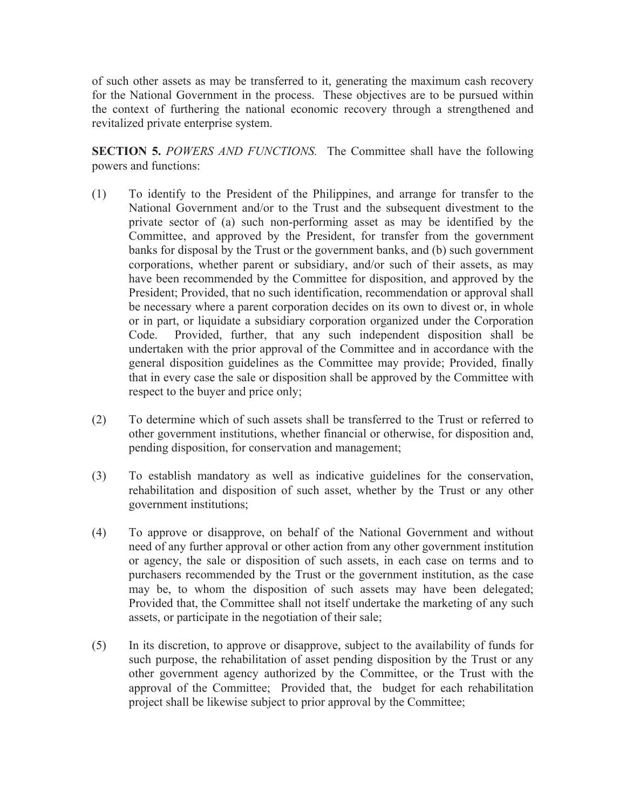of such other assets as may be transferred to it, generating the maximum cash recovery for the National Government in the process. These objectives are to be pursued within the context of furthering the national economic recovery through a strengthened and revitalized private enterprise system.

**SECTION 5.** *POWERS AND FUNCTIONS.* The Committee shall have the following powers and functions:

- (1) To identify to the President of the Philippines, and arrange for transfer to the National Government and/or to the Trust and the subsequent divestment to the private sector of (a) such non-performing asset as may be identified by the Committee, and approved by the President, for transfer from the government banks for disposal by the Trust or the government banks, and (b) such government corporations, whether parent or subsidiary, and/or such of their assets, as may have been recommended by the Committee for disposition, and approved by the President; Provided, that no such identification, recommendation or approval shall be necessary where a parent corporation decides on its own to divest or, in whole or in part, or liquidate a subsidiary corporation organized under the Corporation Code. Provided, further, that any such independent disposition shall be undertaken with the prior approval of the Committee and in accordance with the general disposition guidelines as the Committee may provide; Provided, finally that in every case the sale or disposition shall be approved by the Committee with respect to the buyer and price only;
- (2) To determine which of such assets shall be transferred to the Trust or referred to other government institutions, whether financial or otherwise, for disposition and, pending disposition, for conservation and management;
- (3) To establish mandatory as well as indicative guidelines for the conservation, rehabilitation and disposition of such asset, whether by the Trust or any other government institutions;
- (4) To approve or disapprove, on behalf of the National Government and without need of any further approval or other action from any other government institution or agency, the sale or disposition of such assets, in each case on terms and to purchasers recommended by the Trust or the government institution, as the case may be, to whom the disposition of such assets may have been delegated; Provided that, the Committee shall not itself undertake the marketing of any such assets, or participate in the negotiation of their sale;
- (5) In its discretion, to approve or disapprove, subject to the availability of funds for such purpose, the rehabilitation of asset pending disposition by the Trust or any other government agency authorized by the Committee, or the Trust with the approval of the Committee; Provided that, the budget for each rehabilitation project shall be likewise subject to prior approval by the Committee;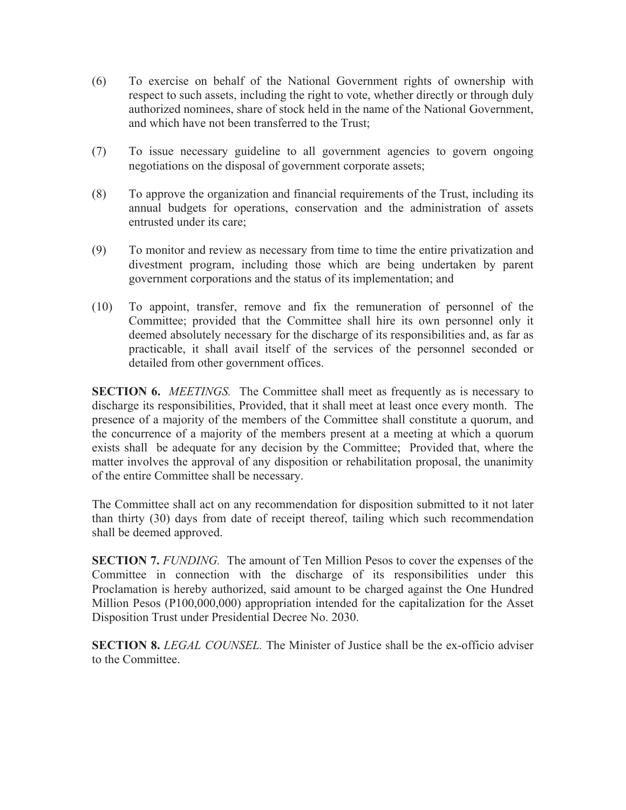- (6) To exercise on behalf of the National Government rights of ownership with respect to such assets, including the right to vote, whether directly or through duly authorized nominees, share of stock held in the name of the National Government, and which have not been transferred to the Trust;
- (7) To issue necessary guideline to all government agencies to govern ongoing negotiations on the disposal of government corporate assets;
- (8) To approve the organization and financial requirements of the Trust, including its annual budgets for operations, conservation and the administration of assets entrusted under its care;
- (9) To monitor and review as necessary from time to time the entire privatization and divestment program, including those which are being undertaken by parent government corporations and the status of its implementation; and
- (10) To appoint, transfer, remove and fix the remuneration of personnel of the Committee; provided that the Committee shall hire its own personnel only it deemed absolutely necessary for the discharge of its responsibilities and, as far as practicable, it shall avail itself of the services of the personnel seconded or detailed from other government offices.

**SECTION 6.** *MEETINGS.* The Committee shall meet as frequently as is necessary to discharge its responsibilities, Provided, that it shall meet at least once every month. The presence of a majority of the members of the Committee shall constitute a quorum, and the concurrence of a majority of the members present at a meeting at which a quorum exists shall be adequate for any decision by the Committee; Provided that, where the matter involves the approval of any disposition or rehabilitation proposal, the unanimity of the entire Committee shall be necessary.

The Committee shall act on any recommendation for disposition submitted to it not later than thirty (30) days from date of receipt thereof, tailing which such recommendation shall be deemed approved.

**SECTION 7.** *FUNDING.* The amount of Ten Million Pesos to cover the expenses of the Committee in connection with the discharge of its responsibilities under this Proclamation is hereby authorized, said amount to be charged against the One Hundred Million Pesos (P100,000,000) appropriation intended for the capitalization for the Asset Disposition Trust under Presidential Decree No. 2030.

**SECTION 8.** *LEGAL COUNSEL.* The Minister of Justice shall be the ex-officio adviser to the Committee.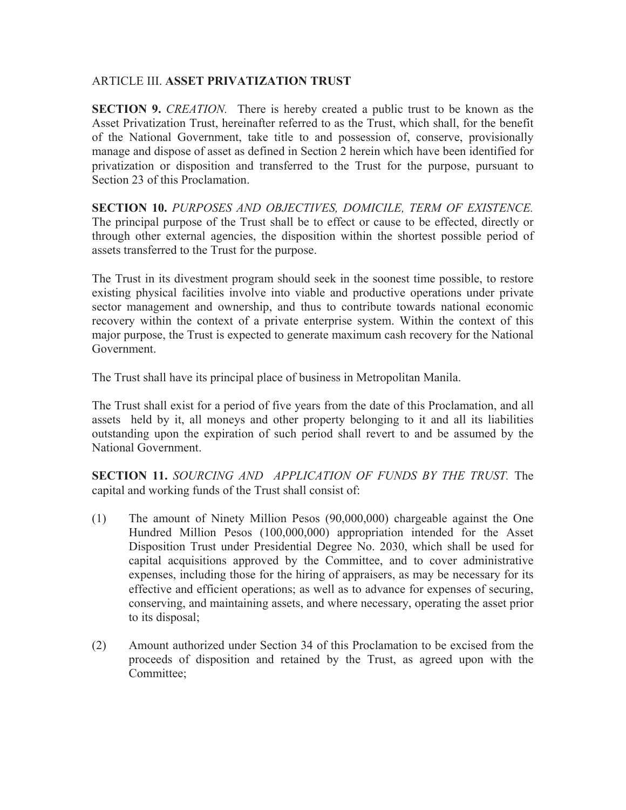## ARTICLE III. **ASSET PRIVATIZATION TRUST**

**SECTION 9.** *CREATION.* There is hereby created a public trust to be known as the Asset Privatization Trust, hereinafter referred to as the Trust, which shall, for the benefit of the National Government, take title to and possession of, conserve, provisionally manage and dispose of asset as defined in Section 2 herein which have been identified for privatization or disposition and transferred to the Trust for the purpose, pursuant to Section 23 of this Proclamation.

**SECTION 10.** *PURPOSES AND OBJECTIVES, DOMICILE, TERM OF EXISTENCE.*  The principal purpose of the Trust shall be to effect or cause to be effected, directly or through other external agencies, the disposition within the shortest possible period of assets transferred to the Trust for the purpose.

The Trust in its divestment program should seek in the soonest time possible, to restore existing physical facilities involve into viable and productive operations under private sector management and ownership, and thus to contribute towards national economic recovery within the context of a private enterprise system. Within the context of this major purpose, the Trust is expected to generate maximum cash recovery for the National Government.

The Trust shall have its principal place of business in Metropolitan Manila.

The Trust shall exist for a period of five years from the date of this Proclamation, and all assets held by it, all moneys and other property belonging to it and all its liabilities outstanding upon the expiration of such period shall revert to and be assumed by the National Government.

**SECTION 11.** *SOURCING AND APPLICATION OF FUNDS BY THE TRUST.* The capital and working funds of the Trust shall consist of:

- (1) The amount of Ninety Million Pesos (90,000,000) chargeable against the One Hundred Million Pesos (100,000,000) appropriation intended for the Asset Disposition Trust under Presidential Degree No. 2030, which shall be used for capital acquisitions approved by the Committee, and to cover administrative expenses, including those for the hiring of appraisers, as may be necessary for its effective and efficient operations; as well as to advance for expenses of securing, conserving, and maintaining assets, and where necessary, operating the asset prior to its disposal;
- (2) Amount authorized under Section 34 of this Proclamation to be excised from the proceeds of disposition and retained by the Trust, as agreed upon with the Committee;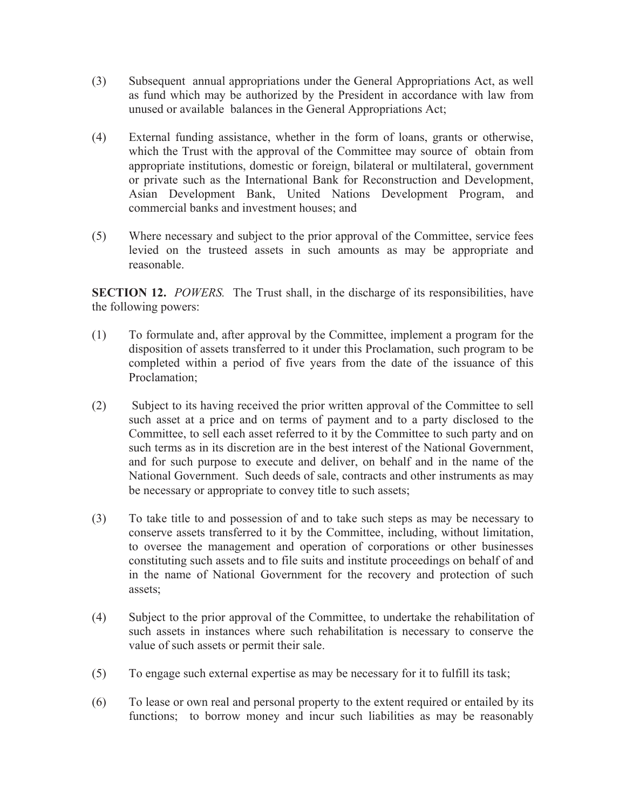- (3) Subsequent annual appropriations under the General Appropriations Act, as well as fund which may be authorized by the President in accordance with law from unused or available balances in the General Appropriations Act;
- (4) External funding assistance, whether in the form of loans, grants or otherwise, which the Trust with the approval of the Committee may source of obtain from appropriate institutions, domestic or foreign, bilateral or multilateral, government or private such as the International Bank for Reconstruction and Development, Asian Development Bank, United Nations Development Program, and commercial banks and investment houses; and
- (5) Where necessary and subject to the prior approval of the Committee, service fees levied on the trusteed assets in such amounts as may be appropriate and reasonable.

**SECTION 12.** *POWERS.* The Trust shall, in the discharge of its responsibilities, have the following powers:

- (1) To formulate and, after approval by the Committee, implement a program for the disposition of assets transferred to it under this Proclamation, such program to be completed within a period of five years from the date of the issuance of this Proclamation;
- (2) Subject to its having received the prior written approval of the Committee to sell such asset at a price and on terms of payment and to a party disclosed to the Committee, to sell each asset referred to it by the Committee to such party and on such terms as in its discretion are in the best interest of the National Government, and for such purpose to execute and deliver, on behalf and in the name of the National Government. Such deeds of sale, contracts and other instruments as may be necessary or appropriate to convey title to such assets;
- (3) To take title to and possession of and to take such steps as may be necessary to conserve assets transferred to it by the Committee, including, without limitation, to oversee the management and operation of corporations or other businesses constituting such assets and to file suits and institute proceedings on behalf of and in the name of National Government for the recovery and protection of such assets;
- (4) Subject to the prior approval of the Committee, to undertake the rehabilitation of such assets in instances where such rehabilitation is necessary to conserve the value of such assets or permit their sale.
- (5) To engage such external expertise as may be necessary for it to fulfill its task;
- (6) To lease or own real and personal property to the extent required or entailed by its functions; to borrow money and incur such liabilities as may be reasonably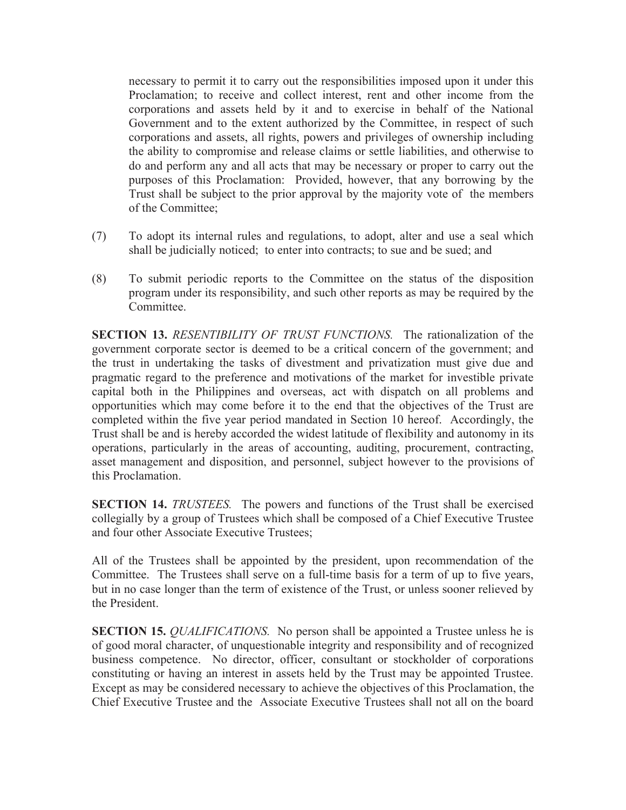necessary to permit it to carry out the responsibilities imposed upon it under this Proclamation; to receive and collect interest, rent and other income from the corporations and assets held by it and to exercise in behalf of the National Government and to the extent authorized by the Committee, in respect of such corporations and assets, all rights, powers and privileges of ownership including the ability to compromise and release claims or settle liabilities, and otherwise to do and perform any and all acts that may be necessary or proper to carry out the purposes of this Proclamation: Provided, however, that any borrowing by the Trust shall be subject to the prior approval by the majority vote of the members of the Committee;

- (7) To adopt its internal rules and regulations, to adopt, alter and use a seal which shall be judicially noticed; to enter into contracts; to sue and be sued; and
- (8) To submit periodic reports to the Committee on the status of the disposition program under its responsibility, and such other reports as may be required by the Committee.

**SECTION 13.** *RESENTIBILITY OF TRUST FUNCTIONS.* The rationalization of the government corporate sector is deemed to be a critical concern of the government; and the trust in undertaking the tasks of divestment and privatization must give due and pragmatic regard to the preference and motivations of the market for investible private capital both in the Philippines and overseas, act with dispatch on all problems and opportunities which may come before it to the end that the objectives of the Trust are completed within the five year period mandated in Section 10 hereof. Accordingly, the Trust shall be and is hereby accorded the widest latitude of flexibility and autonomy in its operations, particularly in the areas of accounting, auditing, procurement, contracting, asset management and disposition, and personnel, subject however to the provisions of this Proclamation.

**SECTION 14.** *TRUSTEES.* The powers and functions of the Trust shall be exercised collegially by a group of Trustees which shall be composed of a Chief Executive Trustee and four other Associate Executive Trustees;

All of the Trustees shall be appointed by the president, upon recommendation of the Committee. The Trustees shall serve on a full-time basis for a term of up to five years, but in no case longer than the term of existence of the Trust, or unless sooner relieved by the President.

**SECTION 15.** *QUALIFICATIONS.* No person shall be appointed a Trustee unless he is of good moral character, of unquestionable integrity and responsibility and of recognized business competence. No director, officer, consultant or stockholder of corporations constituting or having an interest in assets held by the Trust may be appointed Trustee. Except as may be considered necessary to achieve the objectives of this Proclamation, the Chief Executive Trustee and the Associate Executive Trustees shall not all on the board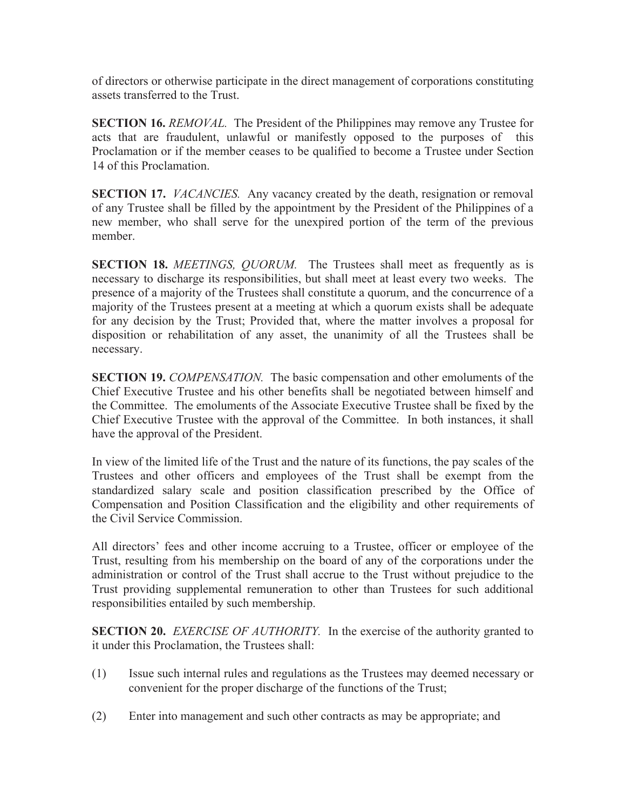of directors or otherwise participate in the direct management of corporations constituting assets transferred to the Trust.

**SECTION 16.** *REMOVAL*. The President of the Philippines may remove any Trustee for acts that are fraudulent, unlawful or manifestly opposed to the purposes of this Proclamation or if the member ceases to be qualified to become a Trustee under Section 14 of this Proclamation.

**SECTION 17.** *VACANCIES.* Any vacancy created by the death, resignation or removal of any Trustee shall be filled by the appointment by the President of the Philippines of a new member, who shall serve for the unexpired portion of the term of the previous member.

**SECTION 18.** *MEETINGS, QUORUM.* The Trustees shall meet as frequently as is necessary to discharge its responsibilities, but shall meet at least every two weeks. The presence of a majority of the Trustees shall constitute a quorum, and the concurrence of a majority of the Trustees present at a meeting at which a quorum exists shall be adequate for any decision by the Trust; Provided that, where the matter involves a proposal for disposition or rehabilitation of any asset, the unanimity of all the Trustees shall be necessary.

**SECTION 19.** *COMPENSATION.* The basic compensation and other emoluments of the Chief Executive Trustee and his other benefits shall be negotiated between himself and the Committee. The emoluments of the Associate Executive Trustee shall be fixed by the Chief Executive Trustee with the approval of the Committee. In both instances, it shall have the approval of the President.

In view of the limited life of the Trust and the nature of its functions, the pay scales of the Trustees and other officers and employees of the Trust shall be exempt from the standardized salary scale and position classification prescribed by the Office of Compensation and Position Classification and the eligibility and other requirements of the Civil Service Commission.

All directors' fees and other income accruing to a Trustee, officer or employee of the Trust, resulting from his membership on the board of any of the corporations under the administration or control of the Trust shall accrue to the Trust without prejudice to the Trust providing supplemental remuneration to other than Trustees for such additional responsibilities entailed by such membership.

**SECTION 20.** *EXERCISE OF AUTHORITY.* In the exercise of the authority granted to it under this Proclamation, the Trustees shall:

- (1) Issue such internal rules and regulations as the Trustees may deemed necessary or convenient for the proper discharge of the functions of the Trust;
- (2) Enter into management and such other contracts as may be appropriate; and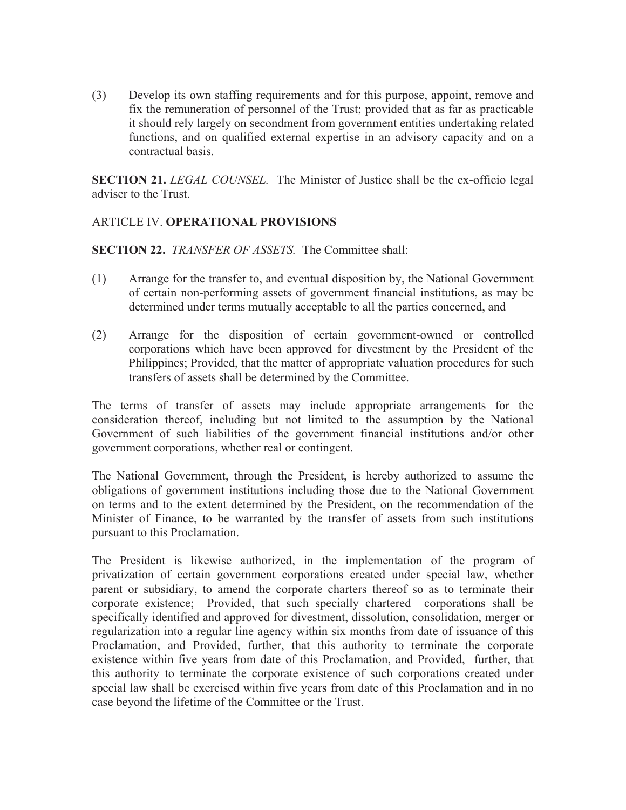(3) Develop its own staffing requirements and for this purpose, appoint, remove and fix the remuneration of personnel of the Trust; provided that as far as practicable it should rely largely on secondment from government entities undertaking related functions, and on qualified external expertise in an advisory capacity and on a contractual basis.

**SECTION 21.** *LEGAL COUNSEL.* The Minister of Justice shall be the ex-officio legal adviser to the Trust.

# ARTICLE IV. **OPERATIONAL PROVISIONS**

**SECTION 22.** *TRANSFER OF ASSETS.* The Committee shall:

- (1) Arrange for the transfer to, and eventual disposition by, the National Government of certain non-performing assets of government financial institutions, as may be determined under terms mutually acceptable to all the parties concerned, and
- (2) Arrange for the disposition of certain government-owned or controlled corporations which have been approved for divestment by the President of the Philippines; Provided, that the matter of appropriate valuation procedures for such transfers of assets shall be determined by the Committee.

The terms of transfer of assets may include appropriate arrangements for the consideration thereof, including but not limited to the assumption by the National Government of such liabilities of the government financial institutions and/or other government corporations, whether real or contingent.

The National Government, through the President, is hereby authorized to assume the obligations of government institutions including those due to the National Government on terms and to the extent determined by the President, on the recommendation of the Minister of Finance, to be warranted by the transfer of assets from such institutions pursuant to this Proclamation.

The President is likewise authorized, in the implementation of the program of privatization of certain government corporations created under special law, whether parent or subsidiary, to amend the corporate charters thereof so as to terminate their corporate existence; Provided, that such specially chartered corporations shall be specifically identified and approved for divestment, dissolution, consolidation, merger or regularization into a regular line agency within six months from date of issuance of this Proclamation, and Provided, further, that this authority to terminate the corporate existence within five years from date of this Proclamation, and Provided, further, that this authority to terminate the corporate existence of such corporations created under special law shall be exercised within five years from date of this Proclamation and in no case beyond the lifetime of the Committee or the Trust.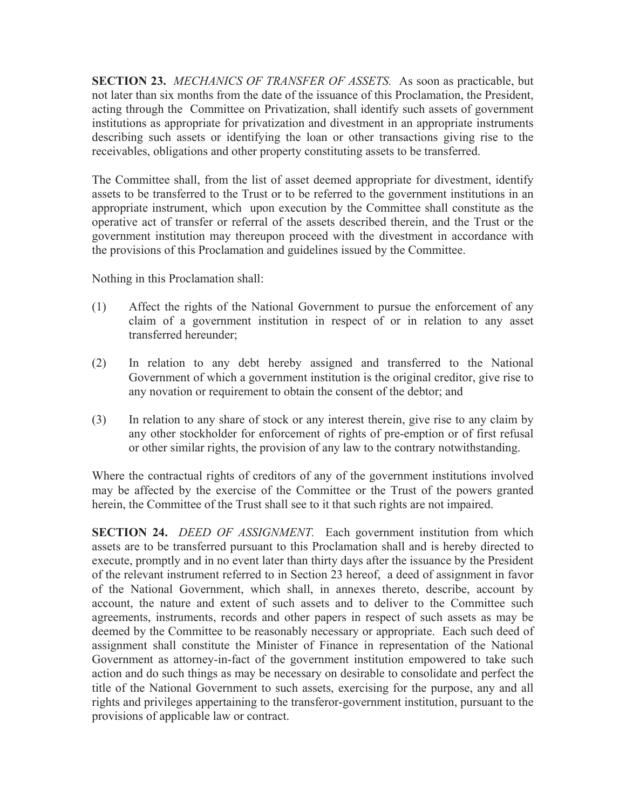**SECTION 23.** *MECHANICS OF TRANSFER OF ASSETS.* As soon as practicable, but not later than six months from the date of the issuance of this Proclamation, the President, acting through the Committee on Privatization, shall identify such assets of government institutions as appropriate for privatization and divestment in an appropriate instruments describing such assets or identifying the loan or other transactions giving rise to the receivables, obligations and other property constituting assets to be transferred.

The Committee shall, from the list of asset deemed appropriate for divestment, identify assets to be transferred to the Trust or to be referred to the government institutions in an appropriate instrument, which upon execution by the Committee shall constitute as the operative act of transfer or referral of the assets described therein, and the Trust or the government institution may thereupon proceed with the divestment in accordance with the provisions of this Proclamation and guidelines issued by the Committee.

Nothing in this Proclamation shall:

- (1) Affect the rights of the National Government to pursue the enforcement of any claim of a government institution in respect of or in relation to any asset transferred hereunder;
- (2) In relation to any debt hereby assigned and transferred to the National Government of which a government institution is the original creditor, give rise to any novation or requirement to obtain the consent of the debtor; and
- (3) In relation to any share of stock or any interest therein, give rise to any claim by any other stockholder for enforcement of rights of pre-emption or of first refusal or other similar rights, the provision of any law to the contrary notwithstanding.

Where the contractual rights of creditors of any of the government institutions involved may be affected by the exercise of the Committee or the Trust of the powers granted herein, the Committee of the Trust shall see to it that such rights are not impaired.

**SECTION 24.** *DEED OF ASSIGNMENT.* Each government institution from which assets are to be transferred pursuant to this Proclamation shall and is hereby directed to execute, promptly and in no event later than thirty days after the issuance by the President of the relevant instrument referred to in Section 23 hereof, a deed of assignment in favor of the National Government, which shall, in annexes thereto, describe, account by account, the nature and extent of such assets and to deliver to the Committee such agreements, instruments, records and other papers in respect of such assets as may be deemed by the Committee to be reasonably necessary or appropriate. Each such deed of assignment shall constitute the Minister of Finance in representation of the National Government as attorney-in-fact of the government institution empowered to take such action and do such things as may be necessary on desirable to consolidate and perfect the title of the National Government to such assets, exercising for the purpose, any and all rights and privileges appertaining to the transferor-government institution, pursuant to the provisions of applicable law or contract.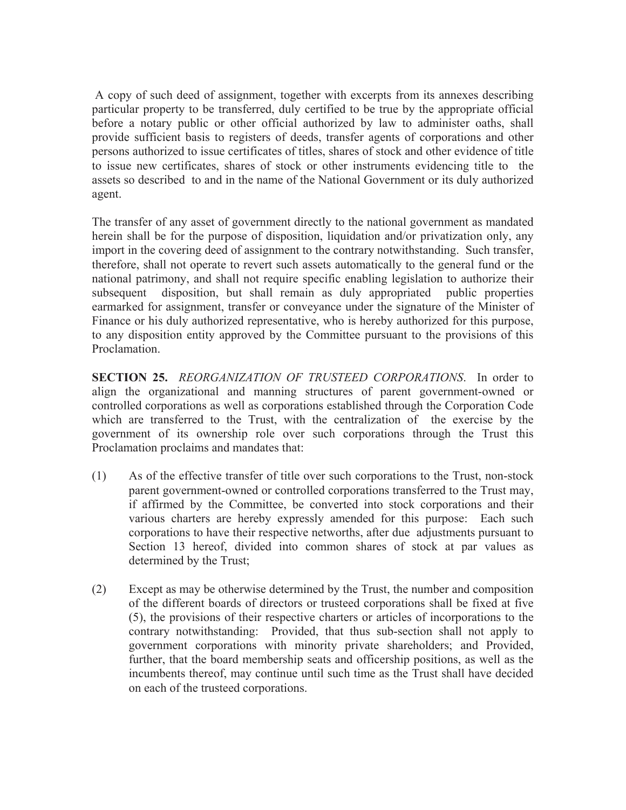A copy of such deed of assignment, together with excerpts from its annexes describing particular property to be transferred, duly certified to be true by the appropriate official before a notary public or other official authorized by law to administer oaths, shall provide sufficient basis to registers of deeds, transfer agents of corporations and other persons authorized to issue certificates of titles, shares of stock and other evidence of title to issue new certificates, shares of stock or other instruments evidencing title to the assets so described to and in the name of the National Government or its duly authorized agent.

The transfer of any asset of government directly to the national government as mandated herein shall be for the purpose of disposition, liquidation and/or privatization only, any import in the covering deed of assignment to the contrary notwithstanding. Such transfer, therefore, shall not operate to revert such assets automatically to the general fund or the national patrimony, and shall not require specific enabling legislation to authorize their subsequent disposition, but shall remain as duly appropriated public properties earmarked for assignment, transfer or conveyance under the signature of the Minister of Finance or his duly authorized representative, who is hereby authorized for this purpose, to any disposition entity approved by the Committee pursuant to the provisions of this Proclamation.

**SECTION 25.** *REORGANIZATION OF TRUSTEED CORPORATIONS*. In order to align the organizational and manning structures of parent government-owned or controlled corporations as well as corporations established through the Corporation Code which are transferred to the Trust, with the centralization of the exercise by the government of its ownership role over such corporations through the Trust this Proclamation proclaims and mandates that:

- (1) As of the effective transfer of title over such corporations to the Trust, non-stock parent government-owned or controlled corporations transferred to the Trust may, if affirmed by the Committee, be converted into stock corporations and their various charters are hereby expressly amended for this purpose: Each such corporations to have their respective networths, after due adjustments pursuant to Section 13 hereof, divided into common shares of stock at par values as determined by the Trust;
- (2) Except as may be otherwise determined by the Trust, the number and composition of the different boards of directors or trusteed corporations shall be fixed at five (5), the provisions of their respective charters or articles of incorporations to the contrary notwithstanding: Provided, that thus sub-section shall not apply to government corporations with minority private shareholders; and Provided, further, that the board membership seats and officership positions, as well as the incumbents thereof, may continue until such time as the Trust shall have decided on each of the trusteed corporations.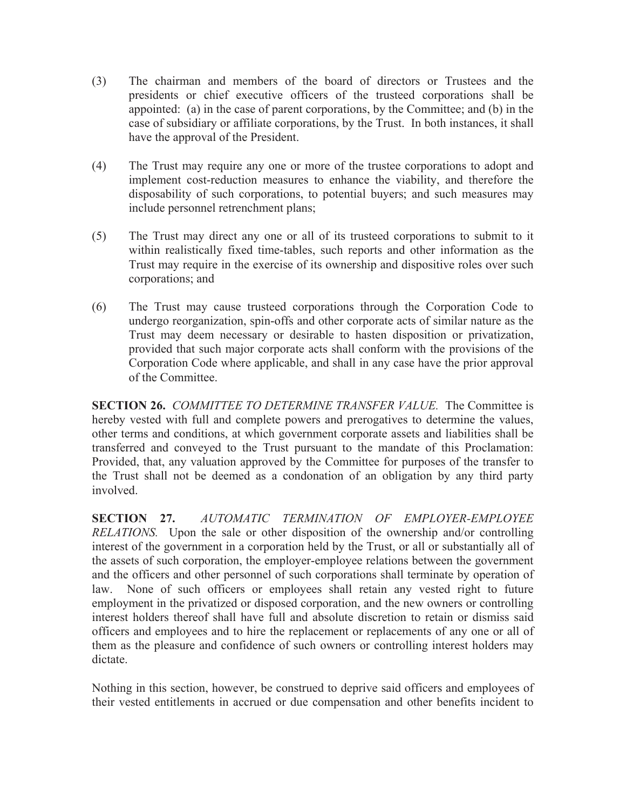- (3) The chairman and members of the board of directors or Trustees and the presidents or chief executive officers of the trusteed corporations shall be appointed: (a) in the case of parent corporations, by the Committee; and (b) in the case of subsidiary or affiliate corporations, by the Trust. In both instances, it shall have the approval of the President.
- (4) The Trust may require any one or more of the trustee corporations to adopt and implement cost-reduction measures to enhance the viability, and therefore the disposability of such corporations, to potential buyers; and such measures may include personnel retrenchment plans;
- (5) The Trust may direct any one or all of its trusteed corporations to submit to it within realistically fixed time-tables, such reports and other information as the Trust may require in the exercise of its ownership and dispositive roles over such corporations; and
- (6) The Trust may cause trusteed corporations through the Corporation Code to undergo reorganization, spin-offs and other corporate acts of similar nature as the Trust may deem necessary or desirable to hasten disposition or privatization, provided that such major corporate acts shall conform with the provisions of the Corporation Code where applicable, and shall in any case have the prior approval of the Committee.

**SECTION 26.** *COMMITTEE TO DETERMINE TRANSFER VALUE.* The Committee is hereby vested with full and complete powers and prerogatives to determine the values, other terms and conditions, at which government corporate assets and liabilities shall be transferred and conveyed to the Trust pursuant to the mandate of this Proclamation: Provided, that, any valuation approved by the Committee for purposes of the transfer to the Trust shall not be deemed as a condonation of an obligation by any third party involved.

**SECTION 27.** *AUTOMATIC TERMINATION OF EMPLOYER-EMPLOYEE RELATIONS.* Upon the sale or other disposition of the ownership and/or controlling interest of the government in a corporation held by the Trust, or all or substantially all of the assets of such corporation, the employer-employee relations between the government and the officers and other personnel of such corporations shall terminate by operation of law. None of such officers or employees shall retain any vested right to future employment in the privatized or disposed corporation, and the new owners or controlling interest holders thereof shall have full and absolute discretion to retain or dismiss said officers and employees and to hire the replacement or replacements of any one or all of them as the pleasure and confidence of such owners or controlling interest holders may dictate.

Nothing in this section, however, be construed to deprive said officers and employees of their vested entitlements in accrued or due compensation and other benefits incident to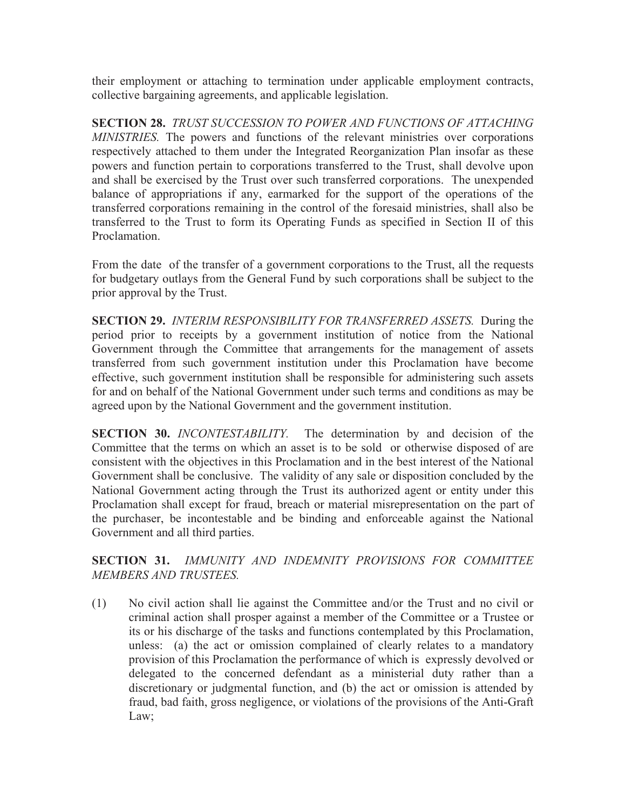their employment or attaching to termination under applicable employment contracts, collective bargaining agreements, and applicable legislation.

**SECTION 28.** *TRUST SUCCESSION TO POWER AND FUNCTIONS OF ATTACHING MINISTRIES.* The powers and functions of the relevant ministries over corporations respectively attached to them under the Integrated Reorganization Plan insofar as these powers and function pertain to corporations transferred to the Trust, shall devolve upon and shall be exercised by the Trust over such transferred corporations. The unexpended balance of appropriations if any, earmarked for the support of the operations of the transferred corporations remaining in the control of the foresaid ministries, shall also be transferred to the Trust to form its Operating Funds as specified in Section II of this **Proclamation** 

From the date of the transfer of a government corporations to the Trust, all the requests for budgetary outlays from the General Fund by such corporations shall be subject to the prior approval by the Trust.

**SECTION 29.** *INTERIM RESPONSIBILITY FOR TRANSFERRED ASSETS.* During the period prior to receipts by a government institution of notice from the National Government through the Committee that arrangements for the management of assets transferred from such government institution under this Proclamation have become effective, such government institution shall be responsible for administering such assets for and on behalf of the National Government under such terms and conditions as may be agreed upon by the National Government and the government institution.

**SECTION 30.** *INCONTESTABILITY.* The determination by and decision of the Committee that the terms on which an asset is to be sold or otherwise disposed of are consistent with the objectives in this Proclamation and in the best interest of the National Government shall be conclusive. The validity of any sale or disposition concluded by the National Government acting through the Trust its authorized agent or entity under this Proclamation shall except for fraud, breach or material misrepresentation on the part of the purchaser, be incontestable and be binding and enforceable against the National Government and all third parties.

**SECTION 31.** *IMMUNITY AND INDEMNITY PROVISIONS FOR COMMITTEE MEMBERS AND TRUSTEES.* 

(1) No civil action shall lie against the Committee and/or the Trust and no civil or criminal action shall prosper against a member of the Committee or a Trustee or its or his discharge of the tasks and functions contemplated by this Proclamation, unless: (a) the act or omission complained of clearly relates to a mandatory provision of this Proclamation the performance of which is expressly devolved or delegated to the concerned defendant as a ministerial duty rather than a discretionary or judgmental function, and (b) the act or omission is attended by fraud, bad faith, gross negligence, or violations of the provisions of the Anti-Graft Law;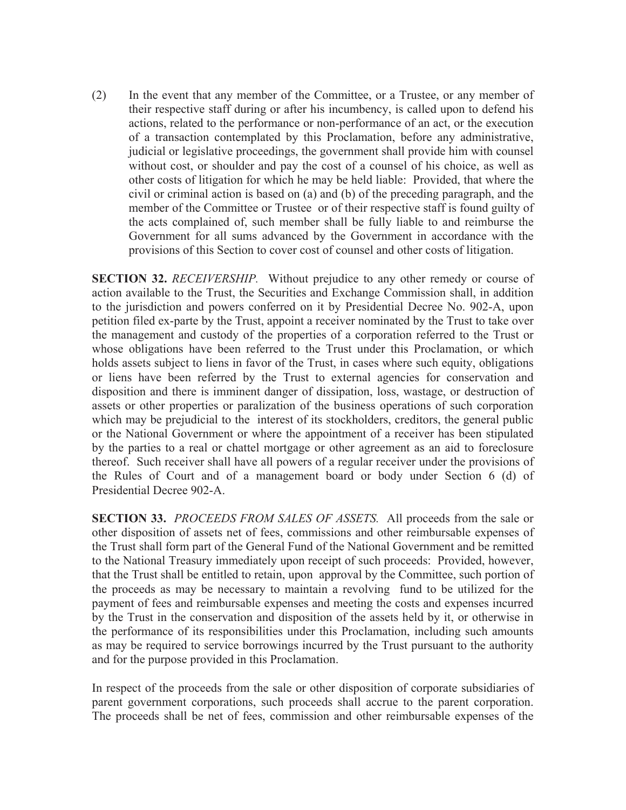(2) In the event that any member of the Committee, or a Trustee, or any member of their respective staff during or after his incumbency, is called upon to defend his actions, related to the performance or non-performance of an act, or the execution of a transaction contemplated by this Proclamation, before any administrative, judicial or legislative proceedings, the government shall provide him with counsel without cost, or shoulder and pay the cost of a counsel of his choice, as well as other costs of litigation for which he may be held liable: Provided, that where the civil or criminal action is based on (a) and (b) of the preceding paragraph, and the member of the Committee or Trustee or of their respective staff is found guilty of the acts complained of, such member shall be fully liable to and reimburse the Government for all sums advanced by the Government in accordance with the provisions of this Section to cover cost of counsel and other costs of litigation.

**SECTION 32.** *RECEIVERSHIP.* Without prejudice to any other remedy or course of action available to the Trust, the Securities and Exchange Commission shall, in addition to the jurisdiction and powers conferred on it by Presidential Decree No. 902-A, upon petition filed ex-parte by the Trust, appoint a receiver nominated by the Trust to take over the management and custody of the properties of a corporation referred to the Trust or whose obligations have been referred to the Trust under this Proclamation, or which holds assets subject to liens in favor of the Trust, in cases where such equity, obligations or liens have been referred by the Trust to external agencies for conservation and disposition and there is imminent danger of dissipation, loss, wastage, or destruction of assets or other properties or paralization of the business operations of such corporation which may be prejudicial to the interest of its stockholders, creditors, the general public or the National Government or where the appointment of a receiver has been stipulated by the parties to a real or chattel mortgage or other agreement as an aid to foreclosure thereof. Such receiver shall have all powers of a regular receiver under the provisions of the Rules of Court and of a management board or body under Section 6 (d) of Presidential Decree 902-A.

**SECTION 33.** *PROCEEDS FROM SALES OF ASSETS.* All proceeds from the sale or other disposition of assets net of fees, commissions and other reimbursable expenses of the Trust shall form part of the General Fund of the National Government and be remitted to the National Treasury immediately upon receipt of such proceeds: Provided, however, that the Trust shall be entitled to retain, upon approval by the Committee, such portion of the proceeds as may be necessary to maintain a revolving fund to be utilized for the payment of fees and reimbursable expenses and meeting the costs and expenses incurred by the Trust in the conservation and disposition of the assets held by it, or otherwise in the performance of its responsibilities under this Proclamation, including such amounts as may be required to service borrowings incurred by the Trust pursuant to the authority and for the purpose provided in this Proclamation.

In respect of the proceeds from the sale or other disposition of corporate subsidiaries of parent government corporations, such proceeds shall accrue to the parent corporation. The proceeds shall be net of fees, commission and other reimbursable expenses of the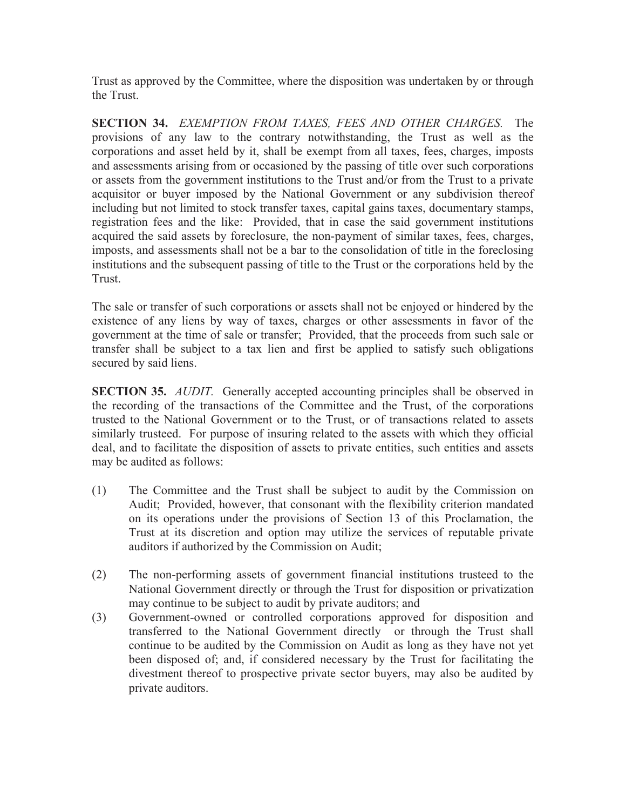Trust as approved by the Committee, where the disposition was undertaken by or through the Trust.

**SECTION 34.** *EXEMPTION FROM TAXES, FEES AND OTHER CHARGES.* The provisions of any law to the contrary notwithstanding, the Trust as well as the corporations and asset held by it, shall be exempt from all taxes, fees, charges, imposts and assessments arising from or occasioned by the passing of title over such corporations or assets from the government institutions to the Trust and/or from the Trust to a private acquisitor or buyer imposed by the National Government or any subdivision thereof including but not limited to stock transfer taxes, capital gains taxes, documentary stamps, registration fees and the like: Provided, that in case the said government institutions acquired the said assets by foreclosure, the non-payment of similar taxes, fees, charges, imposts, and assessments shall not be a bar to the consolidation of title in the foreclosing institutions and the subsequent passing of title to the Trust or the corporations held by the **Trust** 

The sale or transfer of such corporations or assets shall not be enjoyed or hindered by the existence of any liens by way of taxes, charges or other assessments in favor of the government at the time of sale or transfer; Provided, that the proceeds from such sale or transfer shall be subject to a tax lien and first be applied to satisfy such obligations secured by said liens.

**SECTION 35.** *AUDIT.* Generally accepted accounting principles shall be observed in the recording of the transactions of the Committee and the Trust, of the corporations trusted to the National Government or to the Trust, or of transactions related to assets similarly trusteed. For purpose of insuring related to the assets with which they official deal, and to facilitate the disposition of assets to private entities, such entities and assets may be audited as follows:

- (1) The Committee and the Trust shall be subject to audit by the Commission on Audit; Provided, however, that consonant with the flexibility criterion mandated on its operations under the provisions of Section 13 of this Proclamation, the Trust at its discretion and option may utilize the services of reputable private auditors if authorized by the Commission on Audit;
- (2) The non-performing assets of government financial institutions trusteed to the National Government directly or through the Trust for disposition or privatization may continue to be subject to audit by private auditors; and
- (3) Government-owned or controlled corporations approved for disposition and transferred to the National Government directly or through the Trust shall continue to be audited by the Commission on Audit as long as they have not yet been disposed of; and, if considered necessary by the Trust for facilitating the divestment thereof to prospective private sector buyers, may also be audited by private auditors.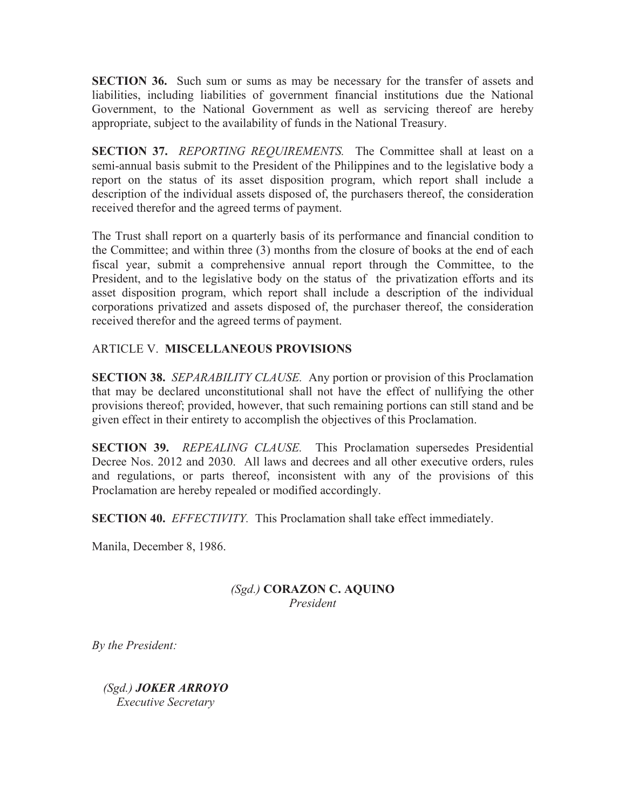**SECTION 36.** Such sum or sums as may be necessary for the transfer of assets and liabilities, including liabilities of government financial institutions due the National Government, to the National Government as well as servicing thereof are hereby appropriate, subject to the availability of funds in the National Treasury.

**SECTION 37.** *REPORTING REQUIREMENTS.* The Committee shall at least on a semi-annual basis submit to the President of the Philippines and to the legislative body a report on the status of its asset disposition program, which report shall include a description of the individual assets disposed of, the purchasers thereof, the consideration received therefor and the agreed terms of payment.

The Trust shall report on a quarterly basis of its performance and financial condition to the Committee; and within three (3) months from the closure of books at the end of each fiscal year, submit a comprehensive annual report through the Committee, to the President, and to the legislative body on the status of the privatization efforts and its asset disposition program, which report shall include a description of the individual corporations privatized and assets disposed of, the purchaser thereof, the consideration received therefor and the agreed terms of payment.

# ARTICLE V. **MISCELLANEOUS PROVISIONS**

**SECTION 38.** *SEPARABILITY CLAUSE.* Any portion or provision of this Proclamation that may be declared unconstitutional shall not have the effect of nullifying the other provisions thereof; provided, however, that such remaining portions can still stand and be given effect in their entirety to accomplish the objectives of this Proclamation.

**SECTION 39.** *REPEALING CLAUSE.* This Proclamation supersedes Presidential Decree Nos. 2012 and 2030. All laws and decrees and all other executive orders, rules and regulations, or parts thereof, inconsistent with any of the provisions of this Proclamation are hereby repealed or modified accordingly.

**SECTION 40.** *EFFECTIVITY.* This Proclamation shall take effect immediately.

Manila, December 8, 1986.

## *(Sgd.)* **CORAZON C. AQUINO** *President*

*By the President:* 

 *(Sgd.) JOKER ARROYO Executive Secretary*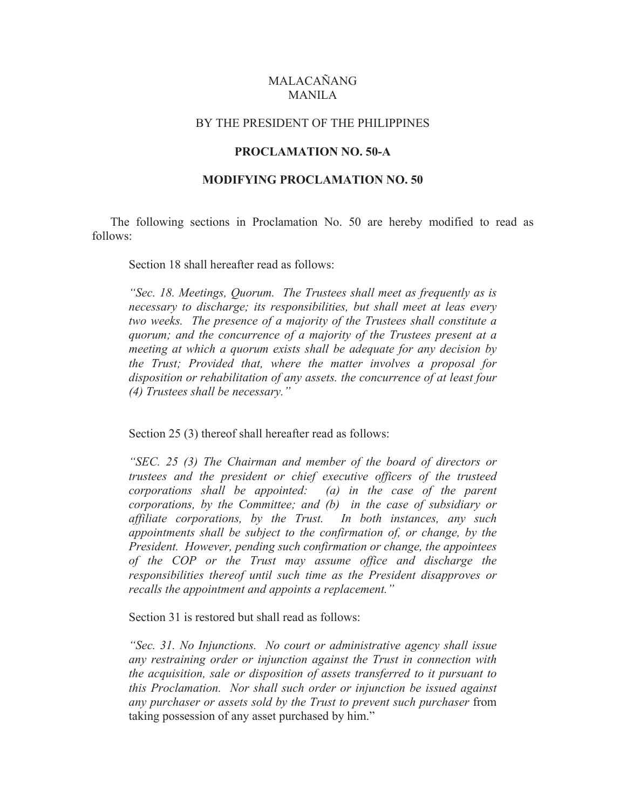## MALACAÑANG MANILA

#### BY THE PRESIDENT OF THE PHILIPPINES

#### **PROCLAMATION NO. 50-A**

### **MODIFYING PROCLAMATION NO. 50**

 The following sections in Proclamation No. 50 are hereby modified to read as follows:

Section 18 shall hereafter read as follows:

*"Sec. 18. Meetings, Quorum. The Trustees shall meet as frequently as is necessary to discharge; its responsibilities, but shall meet at leas every two weeks. The presence of a majority of the Trustees shall constitute a quorum; and the concurrence of a majority of the Trustees present at a meeting at which a quorum exists shall be adequate for any decision by the Trust; Provided that, where the matter involves a proposal for disposition or rehabilitation of any assets. the concurrence of at least four (4) Trustees shall be necessary."*

Section 25 (3) thereof shall hereafter read as follows:

*"SEC. 25 (3) The Chairman and member of the board of directors or trustees and the president or chief executive officers of the trusteed corporations shall be appointed: (a) in the case of the parent corporations, by the Committee; and (b) in the case of subsidiary or affiliate corporations, by the Trust. In both instances, any such appointments shall be subject to the confirmation of, or change, by the President. However, pending such confirmation or change, the appointees of the COP or the Trust may assume office and discharge the responsibilities thereof until such time as the President disapproves or recalls the appointment and appoints a replacement."* 

Section 31 is restored but shall read as follows:

*"Sec. 31. No Injunctions. No court or administrative agency shall issue any restraining order or injunction against the Trust in connection with the acquisition, sale or disposition of assets transferred to it pursuant to this Proclamation. Nor shall such order or injunction be issued against any purchaser or assets sold by the Trust to prevent such purchaser* from taking possession of any asset purchased by him."